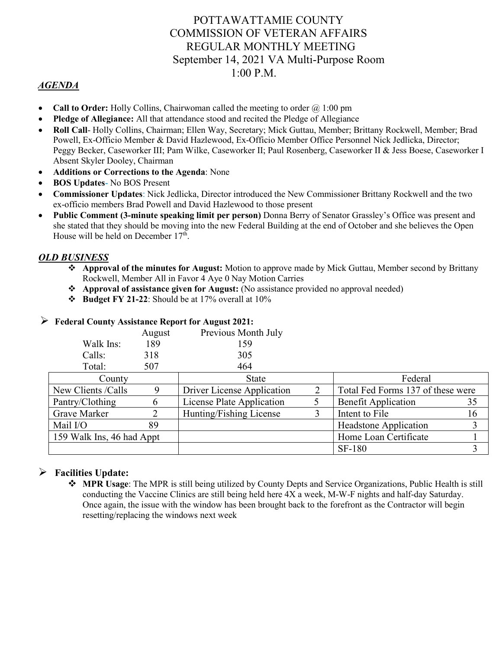# POTTAWATTAMIE COUNTY COMMISSION OF VETERAN AFFAIRS REGULAR MONTHLY MEETING September 14, 2021 VA Multi-Purpose Room 1:00 P.M.

# *AGENDA*

- **Call to Order:** Holly Collins, Chairwoman called the meeting to order  $\omega$  1:00 pm
- **Pledge of Allegiance:** All that attendance stood and recited the Pledge of Allegiance
- **Roll Call** Holly Collins, Chairman; Ellen Way, Secretary; Mick Guttau, Member; Brittany Rockwell, Member; Brad Powell, Ex-Officio Member & David Hazlewood, Ex-Officio Member Office Personnel Nick Jedlicka, Director; Peggy Becker, Caseworker III; Pam Wilke, Caseworker II; Paul Rosenberg, Caseworker II & Jess Boese, Caseworker I Absent Skyler Dooley, Chairman
- **Additions or Corrections to the Agenda**: None
- **BOS Updates** No BOS Present
- **Commissioner Updates**: Nick Jedlicka, Director introduced the New Commissioner Brittany Rockwell and the two ex-officio members Brad Powell and David Hazlewood to those present
- **Public Comment (3-minute speaking limit per person)** Donna Berry of Senator Grassley's Office was present and she stated that they should be moving into the new Federal Building at the end of October and she believes the Open House will be held on December  $17<sup>th</sup>$ .

### *OLD BUSINESS*

- **Approval of the minutes for August:** Motion to approve made by Mick Guttau, Member second by Brittany Rockwell, Member All in Favor 4 Aye 0 Nay Motion Carries
- **Approval of assistance given for August:** (No assistance provided no approval needed)
- **Budget FY 21-22**: Should be at 17% overall at 10%

|                           | August | Previous Month July        |   |                                   |    |
|---------------------------|--------|----------------------------|---|-----------------------------------|----|
| Walk Ins:                 | 189    | 159                        |   |                                   |    |
| Calls:                    | 318    | 305                        |   |                                   |    |
| Total:                    | 507    | 464                        |   |                                   |    |
| County                    |        | <b>State</b>               |   | Federal                           |    |
| New Clients / Calls       | 9      | Driver License Application | 2 | Total Fed Forms 137 of these were |    |
| Pantry/Clothing           | 6      | License Plate Application  |   | <b>Benefit Application</b>        | 35 |
| Grave Marker              | 2      | Hunting/Fishing License    | 3 | Intent to File                    | 16 |
| Mail I/O                  | 89     |                            |   | <b>Headstone Application</b>      | 3  |
| 159 Walk Ins, 46 had Appt |        |                            |   | Home Loan Certificate             |    |
|                           |        |                            |   | <b>SF-180</b>                     |    |

#### **Federal County Assistance Report for August 2021:**

### **Facilities Update:**

 **MPR Usage**: The MPR is still being utilized by County Depts and Service Organizations, Public Health is still conducting the Vaccine Clinics are still being held here 4X a week, M-W-F nights and half-day Saturday. Once again, the issue with the window has been brought back to the forefront as the Contractor will begin resetting/replacing the windows next week